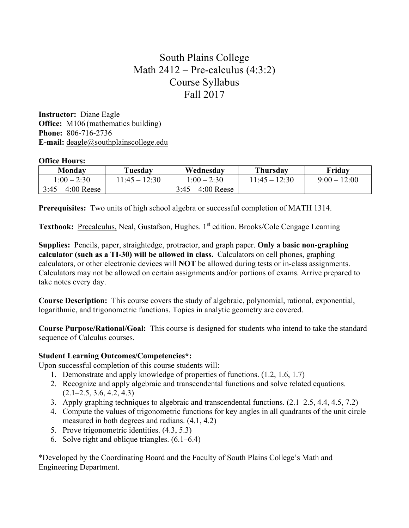## South Plains College Math  $2412$  – Pre-calculus  $(4:3:2)$ Course Syllabus Fall 2017

**Instructor:** Diane Eagle **Office:** M106 (mathematics building) **Phone:** 806-716-2736 **E-mail:** deagle@southplainscollege.edu

## **Office Hours:**

| Monday              | Tuesday         | Wednesday           | <b>Thursday</b> | Fridav       |
|---------------------|-----------------|---------------------|-----------------|--------------|
| $1:00 - 2:30$       | $11:45 - 12:30$ | $1:00 - 2:30$       | $11:45 - 12:30$ | $9:00-12:00$ |
| $3:45 - 4:00$ Reese |                 | $3:45 - 4:00$ Reese |                 |              |

**Prerequisites:** Two units of high school algebra or successful completion of MATH 1314.

**Textbook:** Precalculus, Neal, Gustafson, Hughes. 1<sup>st</sup> edition. Brooks/Cole Cengage Learning

**Supplies:** Pencils, paper, straightedge, protractor, and graph paper. **Only a basic non-graphing calculator (such as a TI-30) will be allowed in class.** Calculators on cell phones, graphing calculators, or other electronic devices will **NOT** be allowed during tests or in-class assignments. Calculators may not be allowed on certain assignments and/or portions of exams. Arrive prepared to take notes every day.

**Course Description:** This course covers the study of algebraic, polynomial, rational, exponential, logarithmic, and trigonometric functions. Topics in analytic geometry are covered.

**Course Purpose/Rational/Goal:** This course is designed for students who intend to take the standard sequence of Calculus courses.

## **Student Learning Outcomes/Competencies\*:**

Upon successful completion of this course students will:

- 1. Demonstrate and apply knowledge of properties of functions. (1.2, 1.6, 1.7)
- 2. Recognize and apply algebraic and transcendental functions and solve related equations.  $(2.1–2.5, 3.6, 4.2, 4.3)$
- 3. Apply graphing techniques to algebraic and transcendental functions. (2.1–2.5, 4.4, 4.5, 7.2)
- 4. Compute the values of trigonometric functions for key angles in all quadrants of the unit circle measured in both degrees and radians. (4.1, 4.2)
- 5. Prove trigonometric identities. (4.3, 5.3)
- 6. Solve right and oblique triangles. (6.1–6.4)

\*Developed by the Coordinating Board and the Faculty of South Plains College's Math and Engineering Department.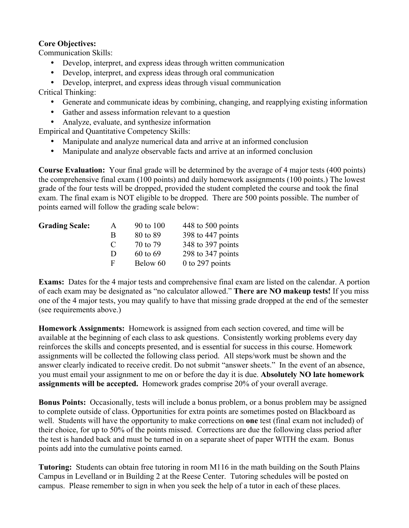## **Core Objectives:**

Communication Skills:

- Develop, interpret, and express ideas through written communication
- Develop, interpret, and express ideas through oral communication
- Develop, interpret, and express ideas through visual communication

Critical Thinking:

- Generate and communicate ideas by combining, changing, and reapplying existing information
- Gather and assess information relevant to a question
- Analyze, evaluate, and synthesize information

Empirical and Quantitative Competency Skills:

- Manipulate and analyze numerical data and arrive at an informed conclusion
- Manipulate and analyze observable facts and arrive at an informed conclusion

**Course Evaluation:** Your final grade will be determined by the average of 4 major tests (400 points) the comprehensive final exam (100 points) and daily homework assignments (100 points.) The lowest grade of the four tests will be dropped, provided the student completed the course and took the final exam. The final exam is NOT eligible to be dropped. There are 500 points possible. The number of points earned will follow the grading scale below:

| <b>Grading Scale:</b> | A             | 90 to 100 | 448 to 500 points |
|-----------------------|---------------|-----------|-------------------|
|                       | B             | 80 to 89  | 398 to 447 points |
|                       | $\mathcal{C}$ | 70 to 79  | 348 to 397 points |
|                       | Ð             | 60 to 69  | 298 to 347 points |
|                       | F             | Below 60  | $0$ to 297 points |

**Exams:** Dates for the 4 major tests and comprehensive final exam are listed on the calendar. A portion of each exam may be designated as "no calculator allowed." **There are NO makeup tests!** If you miss one of the 4 major tests, you may qualify to have that missing grade dropped at the end of the semester (see requirements above.)

**Homework Assignments:** Homework is assigned from each section covered, and time will be available at the beginning of each class to ask questions. Consistently working problems every day reinforces the skills and concepts presented, and is essential for success in this course. Homework assignments will be collected the following class period. All steps/work must be shown and the answer clearly indicated to receive credit. Do not submit "answer sheets." In the event of an absence, you must email your assignment to me on or before the day it is due. **Absolutely NO late homework assignments will be accepted.** Homework grades comprise 20% of your overall average.

**Bonus Points:** Occasionally, tests will include a bonus problem, or a bonus problem may be assigned to complete outside of class. Opportunities for extra points are sometimes posted on Blackboard as well. Students will have the opportunity to make corrections on **one** test (final exam not included) of their choice, for up to 50% of the points missed. Corrections are due the following class period after the test is handed back and must be turned in on a separate sheet of paper WITH the exam. Bonus points add into the cumulative points earned.

**Tutoring:** Students can obtain free tutoring in room M116 in the math building on the South Plains Campus in Levelland or in Building 2 at the Reese Center. Tutoring schedules will be posted on campus. Please remember to sign in when you seek the help of a tutor in each of these places.